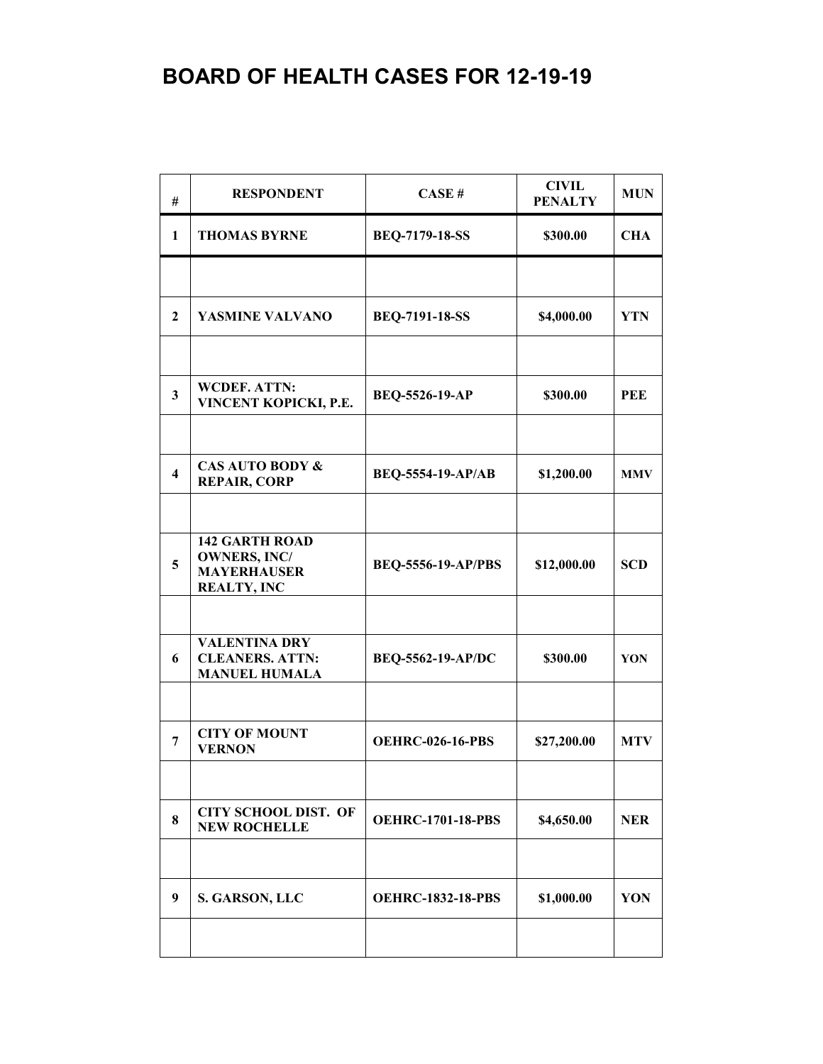| #                       | <b>RESPONDENT</b>                                                                        | CASE#                     | <b>CIVIL</b><br><b>PENALTY</b> | <b>MUN</b> |
|-------------------------|------------------------------------------------------------------------------------------|---------------------------|--------------------------------|------------|
| $\mathbf{1}$            | <b>THOMAS BYRNE</b>                                                                      | <b>BEQ-7179-18-SS</b>     | \$300.00                       | <b>CHA</b> |
|                         |                                                                                          |                           |                                |            |
| $\mathbf{2}$            | YASMINE VALVANO                                                                          | <b>BEQ-7191-18-SS</b>     | \$4,000.00                     | <b>YTN</b> |
|                         |                                                                                          |                           |                                |            |
| $\mathbf{3}$            | <b>WCDEF. ATTN:</b><br>VINCENT KOPICKI, P.E.                                             | BEQ-5526-19-AP            | \$300.00                       | <b>PEE</b> |
|                         |                                                                                          |                           |                                |            |
| $\overline{\mathbf{4}}$ | <b>CAS AUTO BODY &amp;</b><br><b>REPAIR, CORP</b>                                        | <b>BEQ-5554-19-AP/AB</b>  | \$1,200.00                     | <b>MMV</b> |
|                         |                                                                                          |                           |                                |            |
| 5                       | <b>142 GARTH ROAD</b><br><b>OWNERS, INC/</b><br><b>MAYERHAUSER</b><br><b>REALTY, INC</b> | <b>BEQ-5556-19-AP/PBS</b> | \$12,000.00                    | <b>SCD</b> |
|                         |                                                                                          |                           |                                |            |
| 6                       | <b>VALENTINA DRY</b><br><b>CLEANERS. ATTN:</b><br><b>MANUEL HUMALA</b>                   | <b>BEQ-5562-19-AP/DC</b>  | \$300.00                       | YON        |
|                         |                                                                                          |                           |                                |            |
| $\overline{7}$          | <b>CITY OF MOUNT</b><br><b>VERNON</b>                                                    | <b>OEHRC-026-16-PBS</b>   | \$27,200.00                    | <b>MTV</b> |
|                         |                                                                                          |                           |                                |            |
| 8                       | <b>CITY SCHOOL DIST. OF</b><br><b>NEW ROCHELLE</b>                                       | <b>OEHRC-1701-18-PBS</b>  | \$4,650.00                     | <b>NER</b> |
|                         |                                                                                          |                           |                                |            |
| 9                       | S. GARSON, LLC                                                                           | <b>OEHRC-1832-18-PBS</b>  | \$1,000.00                     | YON        |
|                         |                                                                                          |                           |                                |            |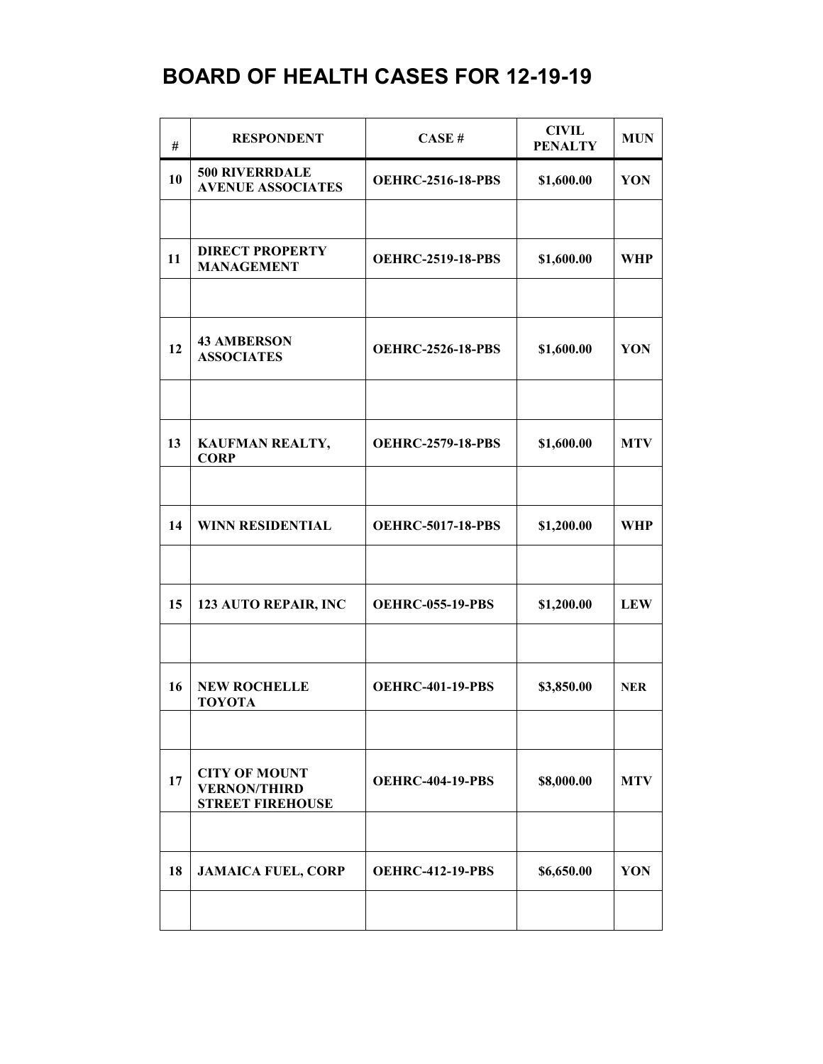| #  | <b>RESPONDENT</b>                                                      | CASE#                    | <b>CIVIL</b><br><b>PENALTY</b> | <b>MUN</b> |
|----|------------------------------------------------------------------------|--------------------------|--------------------------------|------------|
| 10 | <b>500 RIVERRDALE</b><br><b>AVENUE ASSOCIATES</b>                      | <b>OEHRC-2516-18-PBS</b> | \$1,600.00                     | YON        |
|    |                                                                        |                          |                                |            |
| 11 | <b>DIRECT PROPERTY</b><br><b>MANAGEMENT</b>                            | <b>OEHRC-2519-18-PBS</b> | \$1,600.00                     | WHP        |
|    |                                                                        |                          |                                |            |
| 12 | <b>43 AMBERSON</b><br><b>ASSOCIATES</b>                                | <b>OEHRC-2526-18-PBS</b> | \$1,600.00                     | YON        |
|    |                                                                        |                          |                                |            |
| 13 | KAUFMAN REALTY,<br><b>CORP</b>                                         | <b>OEHRC-2579-18-PBS</b> | \$1,600.00                     | <b>MTV</b> |
|    |                                                                        |                          |                                |            |
| 14 | <b>WINN RESIDENTIAL</b>                                                | <b>OEHRC-5017-18-PBS</b> | \$1,200.00                     | <b>WHP</b> |
|    |                                                                        |                          |                                |            |
| 15 | 123 AUTO REPAIR, INC                                                   | <b>OEHRC-055-19-PBS</b>  | \$1,200.00                     | <b>LEW</b> |
|    |                                                                        |                          |                                |            |
| 16 | <b>NEW ROCHELLE</b><br><b>TOYOTA</b>                                   | <b>OEHRC-401-19-PBS</b>  | \$3,850.00                     | <b>NER</b> |
|    |                                                                        |                          |                                |            |
| 17 | <b>CITY OF MOUNT</b><br><b>VERNON/THIRD</b><br><b>STREET FIREHOUSE</b> | <b>OEHRC-404-19-PBS</b>  | \$8,000.00                     | <b>MTV</b> |
|    |                                                                        |                          |                                |            |
| 18 | <b>JAMAICA FUEL, CORP</b>                                              | <b>OEHRC-412-19-PBS</b>  | \$6,650.00                     | YON        |
|    |                                                                        |                          |                                |            |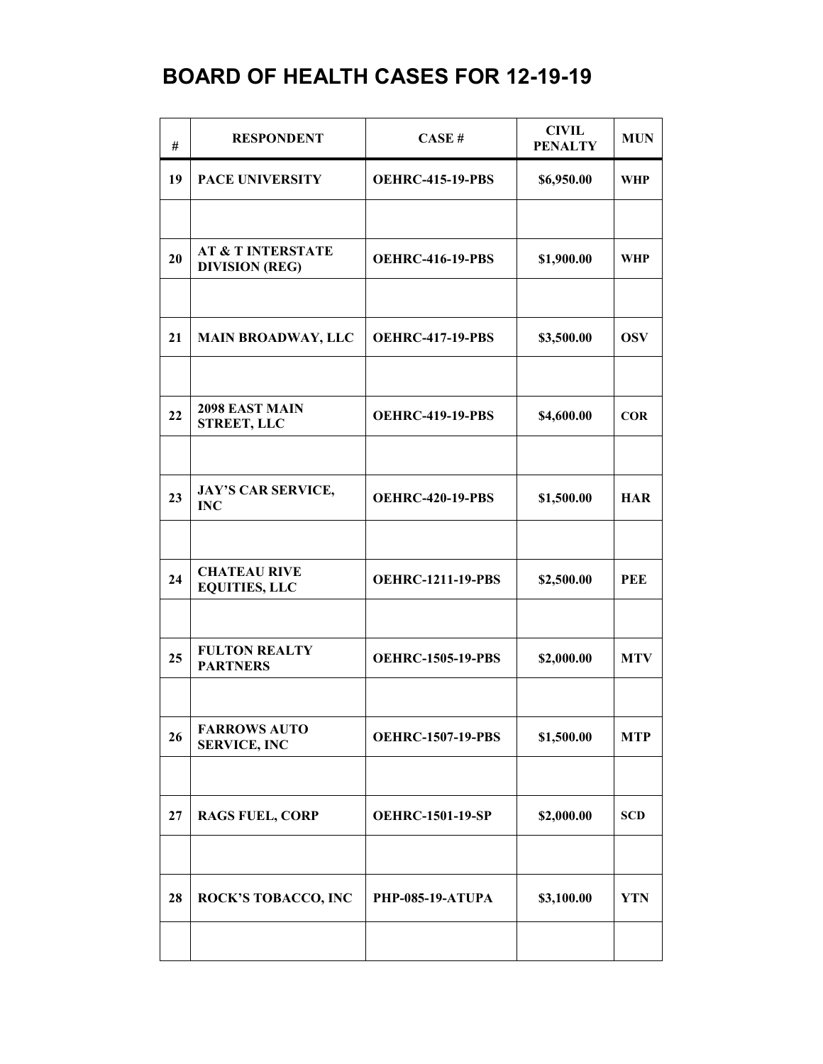| #  | <b>RESPONDENT</b>                                     | CASE#                    | <b>CIVIL</b><br><b>PENALTY</b> | <b>MUN</b> |
|----|-------------------------------------------------------|--------------------------|--------------------------------|------------|
| 19 | <b>PACE UNIVERSITY</b>                                | <b>OEHRC-415-19-PBS</b>  | \$6,950.00                     | <b>WHP</b> |
|    |                                                       |                          |                                |            |
| 20 | <b>AT &amp; T INTERSTATE</b><br><b>DIVISION (REG)</b> | <b>OEHRC-416-19-PBS</b>  | \$1,900.00                     | <b>WHP</b> |
|    |                                                       |                          |                                |            |
| 21 | <b>MAIN BROADWAY, LLC</b>                             | <b>OEHRC-417-19-PBS</b>  | \$3,500.00                     | <b>OSV</b> |
|    |                                                       |                          |                                |            |
| 22 | 2098 EAST MAIN<br><b>STREET, LLC</b>                  | <b>OEHRC-419-19-PBS</b>  | \$4,600.00                     | <b>COR</b> |
|    |                                                       |                          |                                |            |
| 23 | <b>JAY'S CAR SERVICE,</b><br><b>INC</b>               | <b>OEHRC-420-19-PBS</b>  | \$1,500.00                     | <b>HAR</b> |
|    |                                                       |                          |                                |            |
| 24 | <b>CHATEAU RIVE</b><br><b>EQUITIES, LLC</b>           | <b>OEHRC-1211-19-PBS</b> | \$2,500.00                     | <b>PEE</b> |
|    |                                                       |                          |                                |            |
| 25 | <b>FULTON REALTY</b><br><b>PARTNERS</b>               | <b>OEHRC-1505-19-PBS</b> | \$2,000.00                     | <b>MTV</b> |
|    |                                                       |                          |                                |            |
| 26 | <b>FARROWS AUTO</b><br><b>SERVICE, INC</b>            | <b>OEHRC-1507-19-PBS</b> | \$1,500.00                     | <b>MTP</b> |
|    |                                                       |                          |                                |            |
| 27 | <b>RAGS FUEL, CORP</b>                                | <b>OEHRC-1501-19-SP</b>  | \$2,000.00                     | <b>SCD</b> |
|    |                                                       |                          |                                |            |
| 28 | ROCK'S TOBACCO, INC                                   | PHP-085-19-ATUPA         | \$3,100.00                     | <b>YTN</b> |
|    |                                                       |                          |                                |            |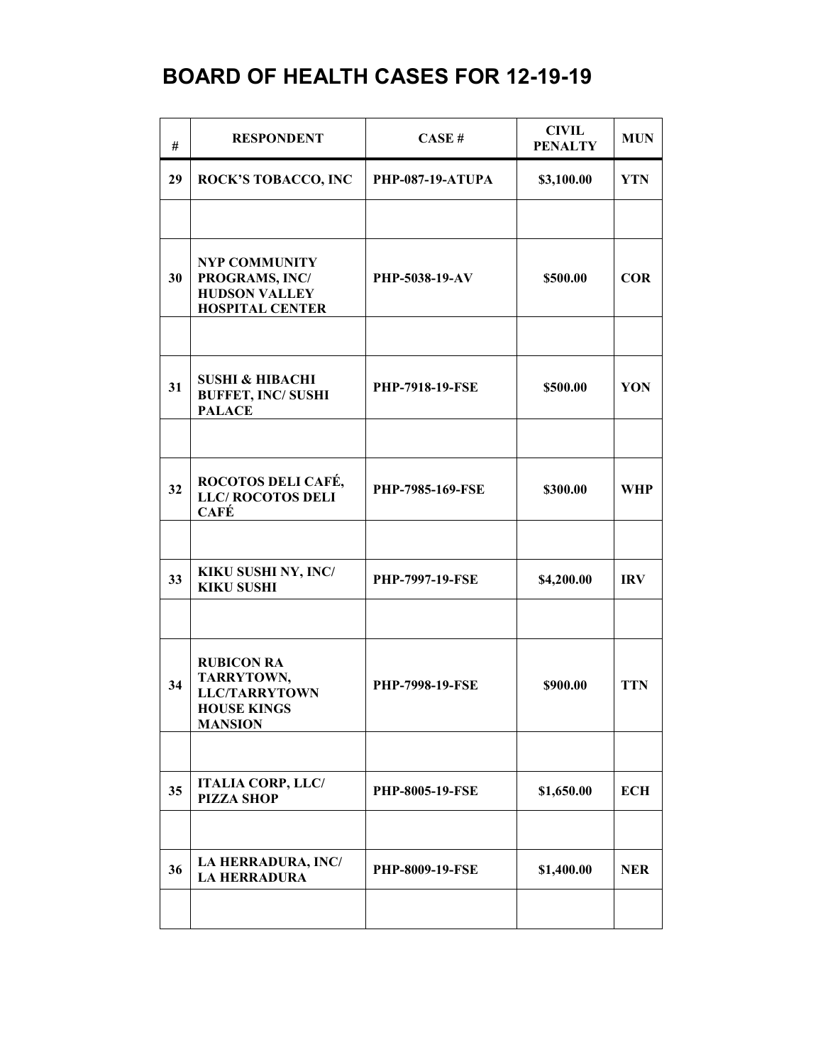| #  | <b>RESPONDENT</b>                                                                               | CASE#                   | <b>CIVIL</b><br><b>PENALTY</b> | <b>MUN</b> |
|----|-------------------------------------------------------------------------------------------------|-------------------------|--------------------------------|------------|
| 29 | <b>ROCK'S TOBACCO, INC</b>                                                                      | <b>PHP-087-19-ATUPA</b> | \$3,100.00                     | <b>YTN</b> |
|    |                                                                                                 |                         |                                |            |
| 30 | <b>NYP COMMUNITY</b><br>PROGRAMS, INC/<br><b>HUDSON VALLEY</b><br><b>HOSPITAL CENTER</b>        | PHP-5038-19-AV          | \$500.00                       | <b>COR</b> |
|    |                                                                                                 |                         |                                |            |
| 31 | <b>SUSHI &amp; HIBACHI</b><br><b>BUFFET, INC/ SUSHI</b><br><b>PALACE</b>                        | PHP-7918-19-FSE         | \$500.00                       | YON        |
|    |                                                                                                 |                         |                                |            |
| 32 | ROCOTOS DELI CAFÉ,<br><b>LLC/ROCOTOS DELI</b><br>CAFÉ                                           | PHP-7985-169-FSE        | \$300.00                       | <b>WHP</b> |
|    |                                                                                                 |                         |                                |            |
| 33 | KIKU SUSHI NY, INC/<br><b>KIKU SUSHI</b>                                                        | PHP-7997-19-FSE         | \$4,200.00                     | <b>IRV</b> |
|    |                                                                                                 |                         |                                |            |
| 34 | <b>RUBICON RA</b><br>TARRYTOWN,<br><b>LLC/TARRYTOWN</b><br><b>HOUSE KINGS</b><br><b>MANSION</b> | <b>PHP-7998-19-FSE</b>  | \$900.00                       | <b>TTN</b> |
|    |                                                                                                 |                         |                                |            |
| 35 | <b>ITALIA CORP, LLC/</b><br><b>PIZZA SHOP</b>                                                   | PHP-8005-19-FSE         | \$1,650.00                     | <b>ECH</b> |
|    |                                                                                                 |                         |                                |            |
| 36 | LA HERRADURA, INC/<br><b>LA HERRADURA</b>                                                       | <b>PHP-8009-19-FSE</b>  | \$1,400.00                     | <b>NER</b> |
|    |                                                                                                 |                         |                                |            |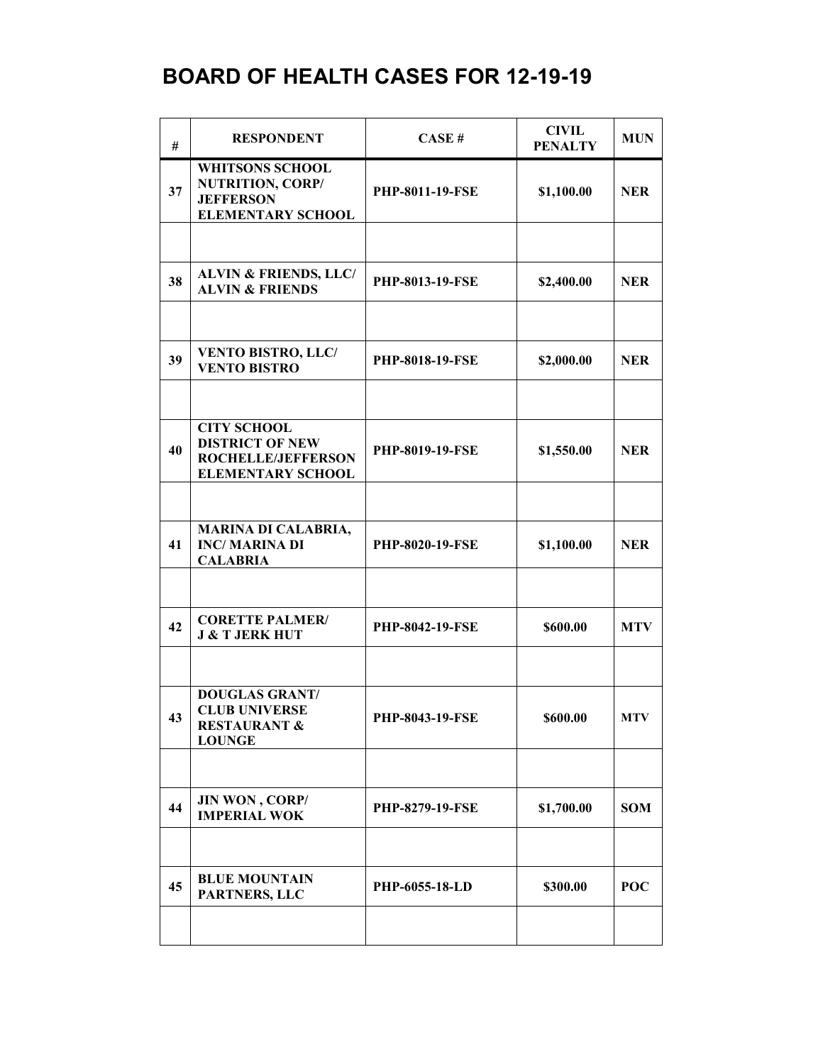| #  | <b>RESPONDENT</b>                                                                                     | CASE#                  | <b>CIVIL</b><br><b>PENALTY</b> | <b>MUN</b> |
|----|-------------------------------------------------------------------------------------------------------|------------------------|--------------------------------|------------|
| 37 | <b>WHITSONS SCHOOL</b><br><b>NUTRITION, CORP/</b><br><b>JEFFERSON</b><br><b>ELEMENTARY SCHOOL</b>     | PHP-8011-19-FSE        | \$1,100.00                     | <b>NER</b> |
|    |                                                                                                       |                        |                                |            |
| 38 | <b>ALVIN &amp; FRIENDS, LLC/</b><br><b>ALVIN &amp; FRIENDS</b>                                        | <b>PHP-8013-19-FSE</b> | \$2,400.00                     | <b>NER</b> |
|    |                                                                                                       |                        |                                |            |
| 39 | <b>VENTO BISTRO, LLC/</b><br><b>VENTO BISTRO</b>                                                      | <b>PHP-8018-19-FSE</b> | \$2,000.00                     | <b>NER</b> |
|    |                                                                                                       |                        |                                |            |
| 40 | <b>CITY SCHOOL</b><br><b>DISTRICT OF NEW</b><br><b>ROCHELLE/JEFFERSON</b><br><b>ELEMENTARY SCHOOL</b> | PHP-8019-19-FSE        | \$1,550.00                     | <b>NER</b> |
|    |                                                                                                       |                        |                                |            |
| 41 | <b>MARINA DI CALABRIA,</b><br><b>INC/MARINA DI</b><br><b>CALABRIA</b>                                 | <b>PHP-8020-19-FSE</b> | \$1,100.00                     | <b>NER</b> |
|    |                                                                                                       |                        |                                |            |
| 42 | <b>CORETTE PALMER/</b><br><b>J &amp; T JERK HUT</b>                                                   | PHP-8042-19-FSE        | \$600.00                       | <b>MTV</b> |
|    |                                                                                                       |                        |                                |            |
| 43 | <b>DOUGLAS GRANT/</b><br><b>CLUB UNIVERSE</b><br><b>RESTAURANT &amp;</b><br><b>LOUNGE</b>             | <b>PHP-8043-19-FSE</b> | \$600.00                       | <b>MTV</b> |
|    |                                                                                                       |                        |                                |            |
| 44 | JIN WON, CORP/<br><b>IMPERIAL WOK</b>                                                                 | <b>PHP-8279-19-FSE</b> | \$1,700.00                     | <b>SOM</b> |
|    |                                                                                                       |                        |                                |            |
| 45 | <b>BLUE MOUNTAIN</b><br>PARTNERS, LLC                                                                 | PHP-6055-18-LD         | \$300.00                       | POC        |
|    |                                                                                                       |                        |                                |            |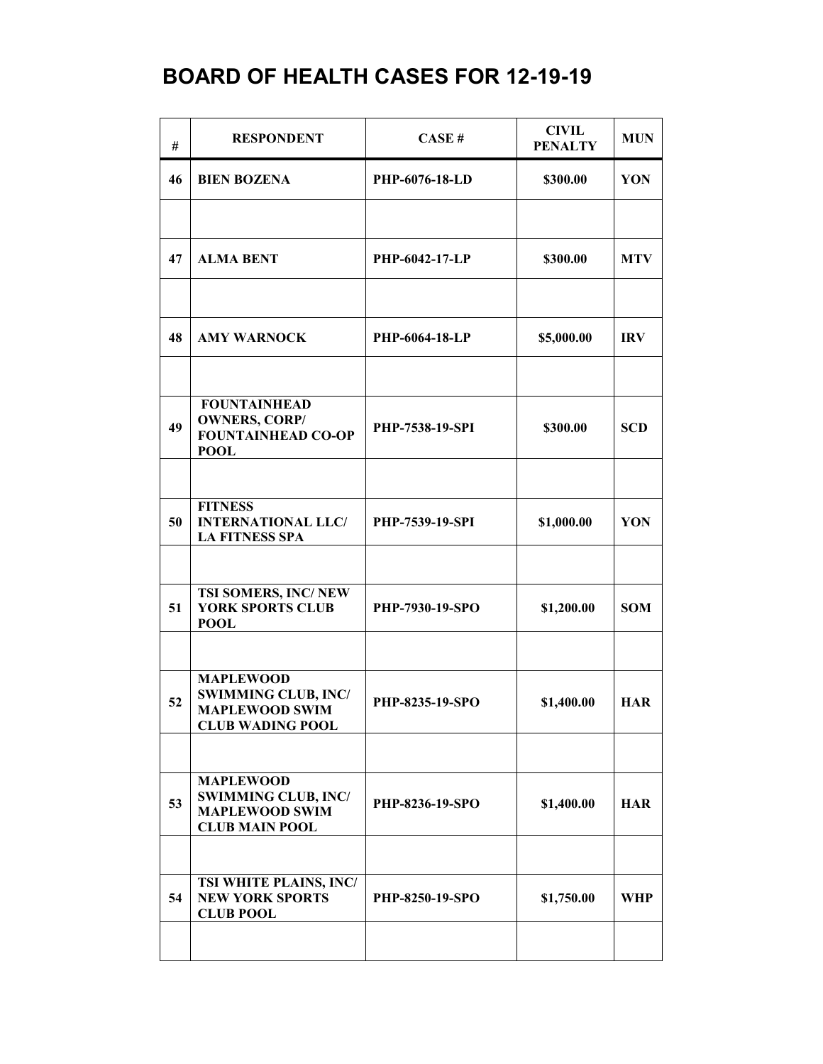| #  | <b>RESPONDENT</b>                                                                                  | CASE#           | <b>CIVIL</b><br><b>PENALTY</b> | <b>MUN</b> |
|----|----------------------------------------------------------------------------------------------------|-----------------|--------------------------------|------------|
| 46 | <b>BIEN BOZENA</b>                                                                                 | PHP-6076-18-LD  | \$300.00                       | YON        |
|    |                                                                                                    |                 |                                |            |
| 47 | <b>ALMA BENT</b>                                                                                   | PHP-6042-17-LP  | \$300.00                       | <b>MTV</b> |
|    |                                                                                                    |                 |                                |            |
| 48 | <b>AMY WARNOCK</b>                                                                                 | PHP-6064-18-LP  | \$5,000.00                     | <b>IRV</b> |
|    |                                                                                                    |                 |                                |            |
| 49 | <b>FOUNTAINHEAD</b><br><b>OWNERS, CORP/</b><br><b>FOUNTAINHEAD CO-OP</b><br><b>POOL</b>            | PHP-7538-19-SPI | \$300.00                       | <b>SCD</b> |
|    |                                                                                                    |                 |                                |            |
| 50 | <b>FITNESS</b><br><b>INTERNATIONAL LLC/</b><br><b>LA FITNESS SPA</b>                               | PHP-7539-19-SPI | \$1,000.00                     | YON        |
|    |                                                                                                    |                 |                                |            |
| 51 | TSI SOMERS, INC/ NEW<br>YORK SPORTS CLUB<br><b>POOL</b>                                            | PHP-7930-19-SPO | \$1,200.00                     | <b>SOM</b> |
|    |                                                                                                    |                 |                                |            |
| 52 | <b>MAPLEWOOD</b><br><b>SWIMMING CLUB, INC/</b><br><b>MAPLEWOOD SWIM</b><br><b>CLUB WADING POOL</b> | PHP-8235-19-SPO | \$1,400.00                     | <b>HAR</b> |
|    |                                                                                                    |                 |                                |            |
| 53 | <b>MAPLEWOOD</b><br><b>SWIMMING CLUB, INC/</b><br><b>MAPLEWOOD SWIM</b><br><b>CLUB MAIN POOL</b>   | PHP-8236-19-SPO | \$1,400.00                     | <b>HAR</b> |
|    |                                                                                                    |                 |                                |            |
| 54 | TSI WHITE PLAINS, INC/<br><b>NEW YORK SPORTS</b><br><b>CLUB POOL</b>                               | PHP-8250-19-SPO | \$1,750.00                     | <b>WHP</b> |
|    |                                                                                                    |                 |                                |            |